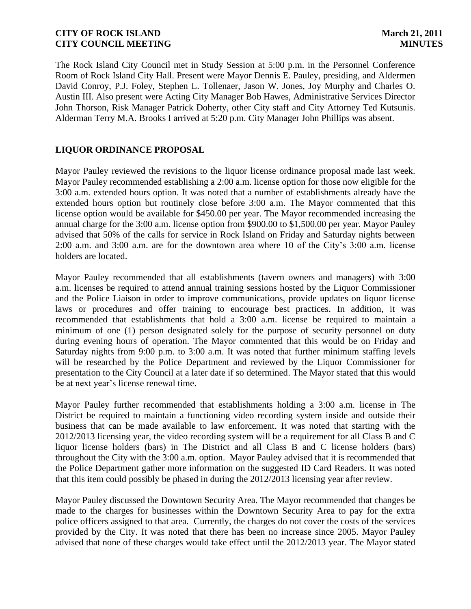The Rock Island City Council met in Study Session at 5:00 p.m. in the Personnel Conference Room of Rock Island City Hall. Present were Mayor Dennis E. Pauley, presiding, and Aldermen David Conroy, P.J. Foley, Stephen L. Tollenaer, Jason W. Jones, Joy Murphy and Charles O. Austin III. Also present were Acting City Manager Bob Hawes, Administrative Services Director John Thorson, Risk Manager Patrick Doherty, other City staff and City Attorney Ted Kutsunis. Alderman Terry M.A. Brooks I arrived at 5:20 p.m. City Manager John Phillips was absent.

# **LIQUOR ORDINANCE PROPOSAL**

Mayor Pauley reviewed the revisions to the liquor license ordinance proposal made last week. Mayor Pauley recommended establishing a 2:00 a.m. license option for those now eligible for the 3:00 a.m. extended hours option. It was noted that a number of establishments already have the extended hours option but routinely close before 3:00 a.m. The Mayor commented that this license option would be available for \$450.00 per year. The Mayor recommended increasing the annual charge for the 3:00 a.m. license option from \$900.00 to \$1,500.00 per year. Mayor Pauley advised that 50% of the calls for service in Rock Island on Friday and Saturday nights between 2:00 a.m. and 3:00 a.m. are for the downtown area where 10 of the City's 3:00 a.m. license holders are located.

Mayor Pauley recommended that all establishments (tavern owners and managers) with 3:00 a.m. licenses be required to attend annual training sessions hosted by the Liquor Commissioner and the Police Liaison in order to improve communications, provide updates on liquor license laws or procedures and offer training to encourage best practices. In addition, it was recommended that establishments that hold a 3:00 a.m. license be required to maintain a minimum of one (1) person designated solely for the purpose of security personnel on duty during evening hours of operation. The Mayor commented that this would be on Friday and Saturday nights from 9:00 p.m. to 3:00 a.m. It was noted that further minimum staffing levels will be researched by the Police Department and reviewed by the Liquor Commissioner for presentation to the City Council at a later date if so determined. The Mayor stated that this would be at next year's license renewal time.

Mayor Pauley further recommended that establishments holding a 3:00 a.m. license in The District be required to maintain a functioning video recording system inside and outside their business that can be made available to law enforcement. It was noted that starting with the 2012/2013 licensing year, the video recording system will be a requirement for all Class B and C liquor license holders (bars) in The District and all Class B and C license holders (bars) throughout the City with the 3:00 a.m. option. Mayor Pauley advised that it is recommended that the Police Department gather more information on the suggested ID Card Readers. It was noted that this item could possibly be phased in during the 2012/2013 licensing year after review.

Mayor Pauley discussed the Downtown Security Area. The Mayor recommended that changes be made to the charges for businesses within the Downtown Security Area to pay for the extra police officers assigned to that area. Currently, the charges do not cover the costs of the services provided by the City. It was noted that there has been no increase since 2005. Mayor Pauley advised that none of these charges would take effect until the 2012/2013 year. The Mayor stated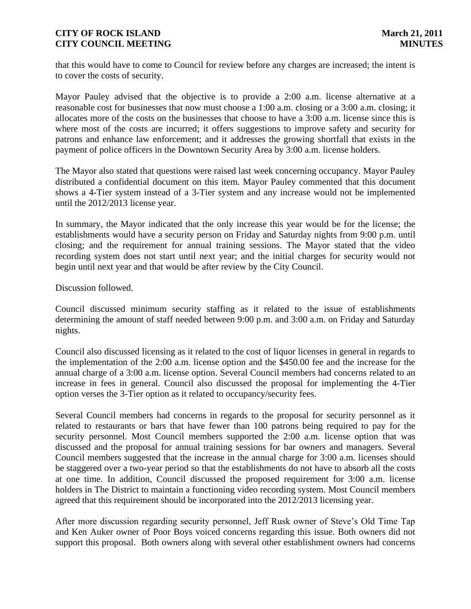that this would have to come to Council for review before any charges are increased; the intent is to cover the costs of security.

Mayor Pauley advised that the objective is to provide a 2:00 a.m. license alternative at a reasonable cost for businesses that now must choose a 1:00 a.m. closing or a 3:00 a.m. closing; it allocates more of the costs on the businesses that choose to have a 3:00 a.m. license since this is where most of the costs are incurred; it offers suggestions to improve safety and security for patrons and enhance law enforcement; and it addresses the growing shortfall that exists in the payment of police officers in the Downtown Security Area by 3:00 a.m. license holders.

The Mayor also stated that questions were raised last week concerning occupancy. Mayor Pauley distributed a confidential document on this item. Mayor Pauley commented that this document shows a 4-Tier system instead of a 3-Tier system and any increase would not be implemented until the 2012/2013 license year.

In summary, the Mayor indicated that the only increase this year would be for the license; the establishments would have a security person on Friday and Saturday nights from 9:00 p.m. until closing; and the requirement for annual training sessions. The Mayor stated that the video recording system does not start until next year; and the initial charges for security would not begin until next year and that would be after review by the City Council.

Discussion followed.

Council discussed minimum security staffing as it related to the issue of establishments determining the amount of staff needed between 9:00 p.m. and 3:00 a.m. on Friday and Saturday nights.

Council also discussed licensing as it related to the cost of liquor licenses in general in regards to the implementation of the 2:00 a.m. license option and the \$450.00 fee and the increase for the annual charge of a 3:00 a.m. license option. Several Council members had concerns related to an increase in fees in general. Council also discussed the proposal for implementing the 4-Tier option verses the 3-Tier option as it related to occupancy/security fees.

Several Council members had concerns in regards to the proposal for security personnel as it related to restaurants or bars that have fewer than 100 patrons being required to pay for the security personnel. Most Council members supported the 2:00 a.m. license option that was discussed and the proposal for annual training sessions for bar owners and managers. Several Council members suggested that the increase in the annual charge for 3:00 a.m. licenses should be staggered over a two-year period so that the establishments do not have to absorb all the costs at one time. In addition, Council discussed the proposed requirement for 3:00 a.m. license holders in The District to maintain a functioning video recording system. Most Council members agreed that this requirement should be incorporated into the 2012/2013 licensing year.

After more discussion regarding security personnel, Jeff Rusk owner of Steve's Old Time Tap and Ken Auker owner of Poor Boys voiced concerns regarding this issue. Both owners did not support this proposal. Both owners along with several other establishment owners had concerns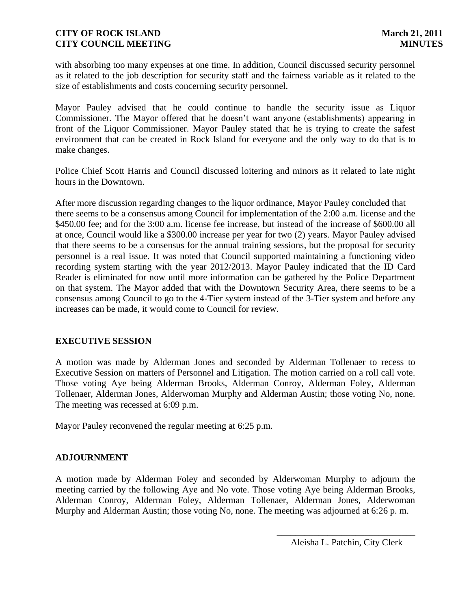with absorbing too many expenses at one time. In addition, Council discussed security personnel as it related to the job description for security staff and the fairness variable as it related to the size of establishments and costs concerning security personnel.

Mayor Pauley advised that he could continue to handle the security issue as Liquor Commissioner. The Mayor offered that he doesn't want anyone (establishments) appearing in front of the Liquor Commissioner. Mayor Pauley stated that he is trying to create the safest environment that can be created in Rock Island for everyone and the only way to do that is to make changes.

Police Chief Scott Harris and Council discussed loitering and minors as it related to late night hours in the Downtown.

After more discussion regarding changes to the liquor ordinance, Mayor Pauley concluded that there seems to be a consensus among Council for implementation of the 2:00 a.m. license and the \$450.00 fee; and for the 3:00 a.m. license fee increase, but instead of the increase of \$600.00 all at once, Council would like a \$300.00 increase per year for two (2) years. Mayor Pauley advised that there seems to be a consensus for the annual training sessions, but the proposal for security personnel is a real issue. It was noted that Council supported maintaining a functioning video recording system starting with the year 2012/2013. Mayor Pauley indicated that the ID Card Reader is eliminated for now until more information can be gathered by the Police Department on that system. The Mayor added that with the Downtown Security Area, there seems to be a consensus among Council to go to the 4-Tier system instead of the 3-Tier system and before any increases can be made, it would come to Council for review.

# **EXECUTIVE SESSION**

A motion was made by Alderman Jones and seconded by Alderman Tollenaer to recess to Executive Session on matters of Personnel and Litigation. The motion carried on a roll call vote. Those voting Aye being Alderman Brooks, Alderman Conroy, Alderman Foley, Alderman Tollenaer, Alderman Jones, Alderwoman Murphy and Alderman Austin; those voting No, none. The meeting was recessed at 6:09 p.m.

Mayor Pauley reconvened the regular meeting at 6:25 p.m.

# **ADJOURNMENT**

A motion made by Alderman Foley and seconded by Alderwoman Murphy to adjourn the meeting carried by the following Aye and No vote. Those voting Aye being Alderman Brooks, Alderman Conroy, Alderman Foley, Alderman Tollenaer, Alderman Jones, Alderwoman Murphy and Alderman Austin; those voting No, none. The meeting was adjourned at 6:26 p. m.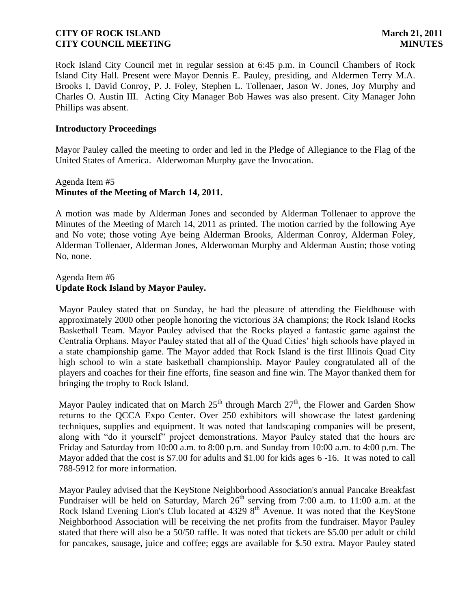Rock Island City Council met in regular session at 6:45 p.m. in Council Chambers of Rock Island City Hall. Present were Mayor Dennis E. Pauley, presiding, and Aldermen Terry M.A. Brooks I, David Conroy, P. J. Foley, Stephen L. Tollenaer, Jason W. Jones, Joy Murphy and Charles O. Austin III. Acting City Manager Bob Hawes was also present. City Manager John Phillips was absent.

### **Introductory Proceedings**

Mayor Pauley called the meeting to order and led in the Pledge of Allegiance to the Flag of the United States of America. Alderwoman Murphy gave the Invocation.

# Agenda Item #5 **Minutes of the Meeting of March 14, 2011.**

A motion was made by Alderman Jones and seconded by Alderman Tollenaer to approve the Minutes of the Meeting of March 14, 2011 as printed. The motion carried by the following Aye and No vote; those voting Aye being Alderman Brooks, Alderman Conroy, Alderman Foley, Alderman Tollenaer, Alderman Jones, Alderwoman Murphy and Alderman Austin; those voting No, none.

### Agenda Item #6 **Update Rock Island by Mayor Pauley.**

Mayor Pauley stated that on Sunday, he had the pleasure of attending the Fieldhouse with approximately 2000 other people honoring the victorious 3A champions; the Rock Island Rocks Basketball Team. Mayor Pauley advised that the Rocks played a fantastic game against the Centralia Orphans. Mayor Pauley stated that all of the Quad Cities' high schools have played in a state championship game. The Mayor added that Rock Island is the first Illinois Quad City high school to win a state basketball championship. Mayor Pauley congratulated all of the players and coaches for their fine efforts, fine season and fine win. The Mayor thanked them for bringing the trophy to Rock Island.

Mayor Pauley indicated that on March  $25<sup>th</sup>$  through March  $27<sup>th</sup>$ , the Flower and Garden Show returns to the QCCA Expo Center. Over 250 exhibitors will showcase the latest gardening techniques, supplies and equipment. It was noted that landscaping companies will be present, along with "do it yourself" project demonstrations. Mayor Pauley stated that the hours are Friday and Saturday from 10:00 a.m. to 8:00 p.m. and Sunday from 10:00 a.m. to 4:00 p.m. The Mayor added that the cost is \$7.00 for adults and \$1.00 for kids ages 6 -16. It was noted to call 788-5912 for more information.

Mayor Pauley advised that the KeyStone Neighborhood Association's annual Pancake Breakfast Fundraiser will be held on Saturday, March  $26<sup>th</sup>$  serving from 7:00 a.m. to 11:00 a.m. at the Rock Island Evening Lion's Club located at 4329 8<sup>th</sup> Avenue. It was noted that the KeyStone Neighborhood Association will be receiving the net profits from the fundraiser. Mayor Pauley stated that there will also be a 50/50 raffle. It was noted that tickets are \$5.00 per adult or child for pancakes, sausage, juice and coffee; eggs are available for \$.50 extra. Mayor Pauley stated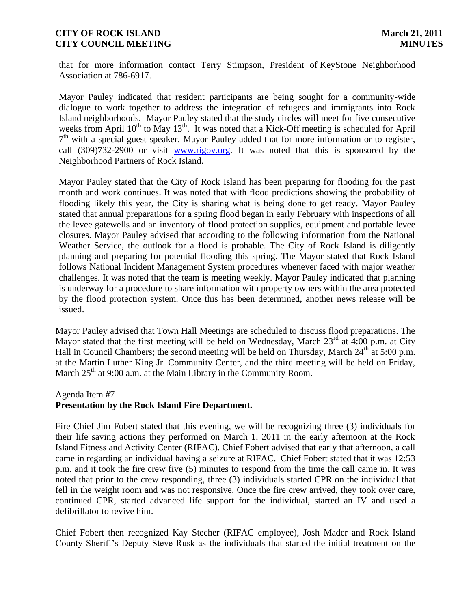that for more information contact Terry Stimpson, President of KeyStone Neighborhood Association at 786-6917.

Mayor Pauley indicated that resident participants are being sought for a community-wide dialogue to work together to address the integration of refugees and immigrants into Rock Island neighborhoods. Mayor Pauley stated that the study circles will meet for five consecutive weeks from April  $10^{th}$  to May  $13^{th}$ . It was noted that a Kick-Off meeting is scheduled for April 7<sup>th</sup> with a special guest speaker. Mayor Pauley added that for more information or to register, call (309)732-2900 or visit [www.rigov.org.](http://www.rigov.org/) It was noted that this is sponsored by the Neighborhood Partners of Rock Island.

Mayor Pauley stated that the City of Rock Island has been preparing for flooding for the past month and work continues. It was noted that with flood predictions showing the probability of flooding likely this year, the City is sharing what is being done to get ready. Mayor Pauley stated that annual preparations for a spring flood began in early February with inspections of all the levee gatewells and an inventory of flood protection supplies, equipment and portable levee closures. Mayor Pauley advised that according to the following information from the National Weather Service, the outlook for a flood is probable. The City of Rock Island is diligently planning and preparing for potential flooding this spring. The Mayor stated that Rock Island follows National Incident Management System procedures whenever faced with major weather challenges. It was noted that the team is meeting weekly. Mayor Pauley indicated that planning is underway for a procedure to share information with property owners within the area protected by the flood protection system. Once this has been determined, another news release will be issued.

Mayor Pauley advised that Town Hall Meetings are scheduled to discuss flood preparations. The Mayor stated that the first meeting will be held on Wednesday, March  $23<sup>rd</sup>$  at 4:00 p.m. at City Hall in Council Chambers; the second meeting will be held on Thursday, March  $24<sup>th</sup>$  at 5:00 p.m. at the Martin Luther King Jr. Community Center, and the third meeting will be held on Friday, March  $25<sup>th</sup>$  at 9:00 a.m. at the Main Library in the Community Room.

Agenda Item #7

### **Presentation by the Rock Island Fire Department.**

Fire Chief Jim Fobert stated that this evening, we will be recognizing three (3) individuals for their life saving actions they performed on March 1, 2011 in the early afternoon at the Rock Island Fitness and Activity Center (RIFAC). Chief Fobert advised that early that afternoon, a call came in regarding an individual having a seizure at RIFAC. Chief Fobert stated that it was 12:53 p.m. and it took the fire crew five (5) minutes to respond from the time the call came in. It was noted that prior to the crew responding, three (3) individuals started CPR on the individual that fell in the weight room and was not responsive. Once the fire crew arrived, they took over care, continued CPR, started advanced life support for the individual, started an IV and used a defibrillator to revive him.

Chief Fobert then recognized Kay Stecher (RIFAC employee), Josh Mader and Rock Island County Sheriff's Deputy Steve Rusk as the individuals that started the initial treatment on the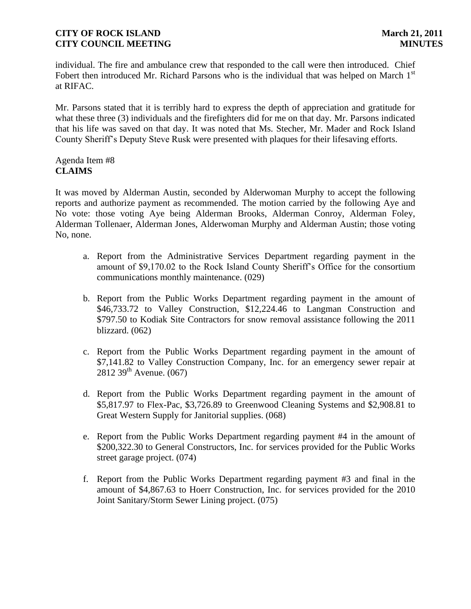individual. The fire and ambulance crew that responded to the call were then introduced. Chief Fobert then introduced Mr. Richard Parsons who is the individual that was helped on March 1<sup>st</sup> at RIFAC.

Mr. Parsons stated that it is terribly hard to express the depth of appreciation and gratitude for what these three (3) individuals and the firefighters did for me on that day. Mr. Parsons indicated that his life was saved on that day. It was noted that Ms. Stecher, Mr. Mader and Rock Island County Sheriff's Deputy Steve Rusk were presented with plaques for their lifesaving efforts.

### Agenda Item #8 **CLAIMS**

It was moved by Alderman Austin, seconded by Alderwoman Murphy to accept the following reports and authorize payment as recommended. The motion carried by the following Aye and No vote: those voting Aye being Alderman Brooks, Alderman Conroy, Alderman Foley, Alderman Tollenaer, Alderman Jones, Alderwoman Murphy and Alderman Austin; those voting No, none.

- a. Report from the Administrative Services Department regarding payment in the amount of \$9,170.02 to the Rock Island County Sheriff's Office for the consortium communications monthly maintenance. (029)
- b. Report from the Public Works Department regarding payment in the amount of \$46,733.72 to Valley Construction, \$12,224.46 to Langman Construction and \$797.50 to Kodiak Site Contractors for snow removal assistance following the 2011 blizzard. (062)
- c. Report from the Public Works Department regarding payment in the amount of \$7,141.82 to Valley Construction Company, Inc. for an emergency sewer repair at  $2812\,39^{th}$  Avenue. (067)
- d. Report from the Public Works Department regarding payment in the amount of \$5,817.97 to Flex-Pac, \$3,726.89 to Greenwood Cleaning Systems and \$2,908.81 to Great Western Supply for Janitorial supplies. (068)
- e. Report from the Public Works Department regarding payment #4 in the amount of \$200,322.30 to General Constructors, Inc. for services provided for the Public Works street garage project. (074)
- f. Report from the Public Works Department regarding payment #3 and final in the amount of \$4,867.63 to Hoerr Construction, Inc. for services provided for the 2010 Joint Sanitary/Storm Sewer Lining project. (075)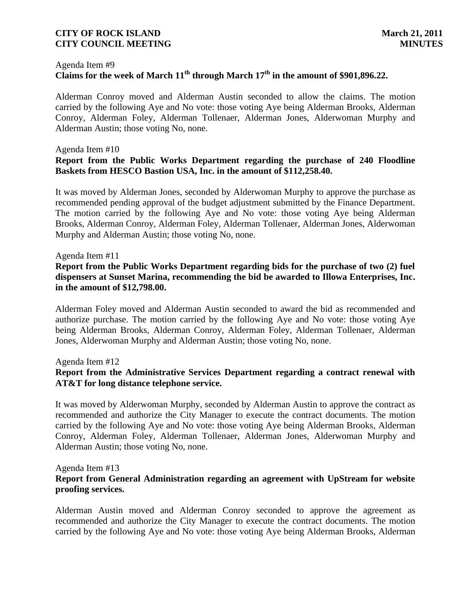#### Agenda Item #9

# **Claims for the week of March 11th through March 17th in the amount of \$901,896.22.**

Alderman Conroy moved and Alderman Austin seconded to allow the claims. The motion carried by the following Aye and No vote: those voting Aye being Alderman Brooks, Alderman Conroy, Alderman Foley, Alderman Tollenaer, Alderman Jones, Alderwoman Murphy and Alderman Austin; those voting No, none.

#### Agenda Item #10

# **Report from the Public Works Department regarding the purchase of 240 Floodline Baskets from HESCO Bastion USA, Inc. in the amount of \$112,258.40.**

It was moved by Alderman Jones, seconded by Alderwoman Murphy to approve the purchase as recommended pending approval of the budget adjustment submitted by the Finance Department. The motion carried by the following Aye and No vote: those voting Aye being Alderman Brooks, Alderman Conroy, Alderman Foley, Alderman Tollenaer, Alderman Jones, Alderwoman Murphy and Alderman Austin; those voting No, none.

#### Agenda Item #11

# **Report from the Public Works Department regarding bids for the purchase of two (2) fuel dispensers at Sunset Marina, recommending the bid be awarded to Illowa Enterprises, Inc. in the amount of \$12,798.00.**

Alderman Foley moved and Alderman Austin seconded to award the bid as recommended and authorize purchase. The motion carried by the following Aye and No vote: those voting Aye being Alderman Brooks, Alderman Conroy, Alderman Foley, Alderman Tollenaer, Alderman Jones, Alderwoman Murphy and Alderman Austin; those voting No, none.

#### Agenda Item #12

# **Report from the Administrative Services Department regarding a contract renewal with AT&T for long distance telephone service.**

It was moved by Alderwoman Murphy, seconded by Alderman Austin to approve the contract as recommended and authorize the City Manager to execute the contract documents. The motion carried by the following Aye and No vote: those voting Aye being Alderman Brooks, Alderman Conroy, Alderman Foley, Alderman Tollenaer, Alderman Jones, Alderwoman Murphy and Alderman Austin; those voting No, none.

#### Agenda Item #13

# **Report from General Administration regarding an agreement with UpStream for website proofing services.**

Alderman Austin moved and Alderman Conroy seconded to approve the agreement as recommended and authorize the City Manager to execute the contract documents. The motion carried by the following Aye and No vote: those voting Aye being Alderman Brooks, Alderman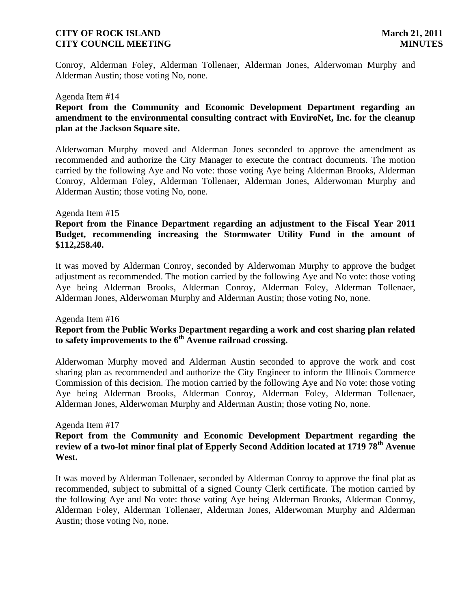Conroy, Alderman Foley, Alderman Tollenaer, Alderman Jones, Alderwoman Murphy and Alderman Austin; those voting No, none.

#### Agenda Item #14

### **Report from the Community and Economic Development Department regarding an amendment to the environmental consulting contract with EnviroNet, Inc. for the cleanup plan at the Jackson Square site.**

Alderwoman Murphy moved and Alderman Jones seconded to approve the amendment as recommended and authorize the City Manager to execute the contract documents. The motion carried by the following Aye and No vote: those voting Aye being Alderman Brooks, Alderman Conroy, Alderman Foley, Alderman Tollenaer, Alderman Jones, Alderwoman Murphy and Alderman Austin; those voting No, none.

#### Agenda Item #15

# **Report from the Finance Department regarding an adjustment to the Fiscal Year 2011 Budget, recommending increasing the Stormwater Utility Fund in the amount of \$112,258.40.**

It was moved by Alderman Conroy, seconded by Alderwoman Murphy to approve the budget adjustment as recommended. The motion carried by the following Aye and No vote: those voting Aye being Alderman Brooks, Alderman Conroy, Alderman Foley, Alderman Tollenaer, Alderman Jones, Alderwoman Murphy and Alderman Austin; those voting No, none.

#### Agenda Item #16

# **Report from the Public Works Department regarding a work and cost sharing plan related to safety improvements to the 6th Avenue railroad crossing.**

Alderwoman Murphy moved and Alderman Austin seconded to approve the work and cost sharing plan as recommended and authorize the City Engineer to inform the Illinois Commerce Commission of this decision. The motion carried by the following Aye and No vote: those voting Aye being Alderman Brooks, Alderman Conroy, Alderman Foley, Alderman Tollenaer, Alderman Jones, Alderwoman Murphy and Alderman Austin; those voting No, none.

#### Agenda Item #17

### **Report from the Community and Economic Development Department regarding the review of a two-lot minor final plat of Epperly Second Addition located at 1719 78th Avenue West.**

It was moved by Alderman Tollenaer, seconded by Alderman Conroy to approve the final plat as recommended, subject to submittal of a signed County Clerk certificate. The motion carried by the following Aye and No vote: those voting Aye being Alderman Brooks, Alderman Conroy, Alderman Foley, Alderman Tollenaer, Alderman Jones, Alderwoman Murphy and Alderman Austin; those voting No, none.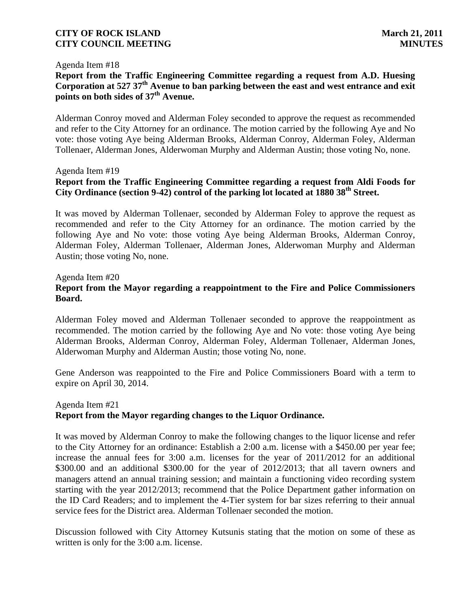#### Agenda Item #18

# **Report from the Traffic Engineering Committee regarding a request from A.D. Huesing Corporation at 527 37th Avenue to ban parking between the east and west entrance and exit points on both sides of 37th Avenue.**

Alderman Conroy moved and Alderman Foley seconded to approve the request as recommended and refer to the City Attorney for an ordinance. The motion carried by the following Aye and No vote: those voting Aye being Alderman Brooks, Alderman Conroy, Alderman Foley, Alderman Tollenaer, Alderman Jones, Alderwoman Murphy and Alderman Austin; those voting No, none.

#### Agenda Item #19

# **Report from the Traffic Engineering Committee regarding a request from Aldi Foods for City Ordinance (section 9-42) control of the parking lot located at 1880 38th Street.**

It was moved by Alderman Tollenaer, seconded by Alderman Foley to approve the request as recommended and refer to the City Attorney for an ordinance. The motion carried by the following Aye and No vote: those voting Aye being Alderman Brooks, Alderman Conroy, Alderman Foley, Alderman Tollenaer, Alderman Jones, Alderwoman Murphy and Alderman Austin; those voting No, none.

# Agenda Item #20 **Report from the Mayor regarding a reappointment to the Fire and Police Commissioners Board.**

Alderman Foley moved and Alderman Tollenaer seconded to approve the reappointment as recommended. The motion carried by the following Aye and No vote: those voting Aye being Alderman Brooks, Alderman Conroy, Alderman Foley, Alderman Tollenaer, Alderman Jones, Alderwoman Murphy and Alderman Austin; those voting No, none.

Gene Anderson was reappointed to the Fire and Police Commissioners Board with a term to expire on April 30, 2014.

### Agenda Item #21 **Report from the Mayor regarding changes to the Liquor Ordinance.**

It was moved by Alderman Conroy to make the following changes to the liquor license and refer to the City Attorney for an ordinance: Establish a 2:00 a.m. license with a \$450.00 per year fee; increase the annual fees for 3:00 a.m. licenses for the year of 2011/2012 for an additional \$300.00 and an additional \$300.00 for the year of 2012/2013; that all tavern owners and managers attend an annual training session; and maintain a functioning video recording system starting with the year 2012/2013; recommend that the Police Department gather information on the ID Card Readers; and to implement the 4-Tier system for bar sizes referring to their annual service fees for the District area. Alderman Tollenaer seconded the motion.

Discussion followed with City Attorney Kutsunis stating that the motion on some of these as written is only for the 3:00 a.m. license.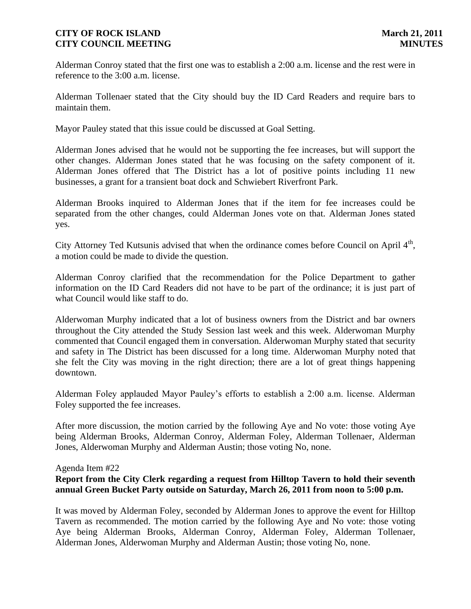Alderman Conroy stated that the first one was to establish a 2:00 a.m. license and the rest were in reference to the 3:00 a.m. license.

Alderman Tollenaer stated that the City should buy the ID Card Readers and require bars to maintain them.

Mayor Pauley stated that this issue could be discussed at Goal Setting.

Alderman Jones advised that he would not be supporting the fee increases, but will support the other changes. Alderman Jones stated that he was focusing on the safety component of it. Alderman Jones offered that The District has a lot of positive points including 11 new businesses, a grant for a transient boat dock and Schwiebert Riverfront Park.

Alderman Brooks inquired to Alderman Jones that if the item for fee increases could be separated from the other changes, could Alderman Jones vote on that. Alderman Jones stated yes.

City Attorney Ted Kutsunis advised that when the ordinance comes before Council on April  $4<sup>th</sup>$ , a motion could be made to divide the question.

Alderman Conroy clarified that the recommendation for the Police Department to gather information on the ID Card Readers did not have to be part of the ordinance; it is just part of what Council would like staff to do.

Alderwoman Murphy indicated that a lot of business owners from the District and bar owners throughout the City attended the Study Session last week and this week. Alderwoman Murphy commented that Council engaged them in conversation. Alderwoman Murphy stated that security and safety in The District has been discussed for a long time. Alderwoman Murphy noted that she felt the City was moving in the right direction; there are a lot of great things happening downtown.

Alderman Foley applauded Mayor Pauley's efforts to establish a 2:00 a.m. license. Alderman Foley supported the fee increases.

After more discussion, the motion carried by the following Aye and No vote: those voting Aye being Alderman Brooks, Alderman Conroy, Alderman Foley, Alderman Tollenaer, Alderman Jones, Alderwoman Murphy and Alderman Austin; those voting No, none.

### Agenda Item #22

# **Report from the City Clerk regarding a request from Hilltop Tavern to hold their seventh annual Green Bucket Party outside on Saturday, March 26, 2011 from noon to 5:00 p.m.**

It was moved by Alderman Foley, seconded by Alderman Jones to approve the event for Hilltop Tavern as recommended. The motion carried by the following Aye and No vote: those voting Aye being Alderman Brooks, Alderman Conroy, Alderman Foley, Alderman Tollenaer, Alderman Jones, Alderwoman Murphy and Alderman Austin; those voting No, none.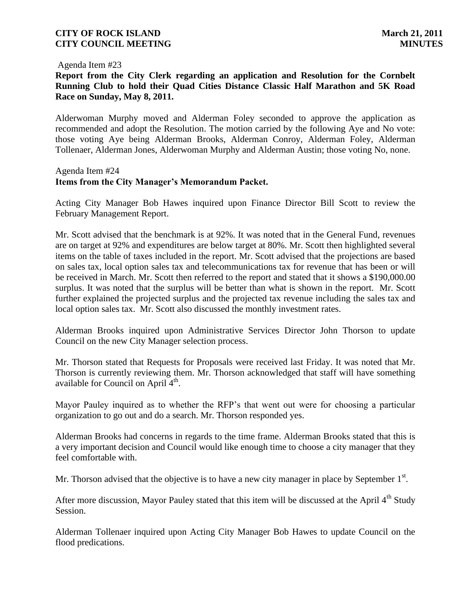Agenda Item #23

**Report from the City Clerk regarding an application and Resolution for the Cornbelt Running Club to hold their Quad Cities Distance Classic Half Marathon and 5K Road Race on Sunday, May 8, 2011.**

Alderwoman Murphy moved and Alderman Foley seconded to approve the application as recommended and adopt the Resolution. The motion carried by the following Aye and No vote: those voting Aye being Alderman Brooks, Alderman Conroy, Alderman Foley, Alderman Tollenaer, Alderman Jones, Alderwoman Murphy and Alderman Austin; those voting No, none.

### Agenda Item #24 **Items from the City Manager's Memorandum Packet.**

Acting City Manager Bob Hawes inquired upon Finance Director Bill Scott to review the February Management Report.

Mr. Scott advised that the benchmark is at 92%. It was noted that in the General Fund, revenues are on target at 92% and expenditures are below target at 80%. Mr. Scott then highlighted several items on the table of taxes included in the report. Mr. Scott advised that the projections are based on sales tax, local option sales tax and telecommunications tax for revenue that has been or will be received in March. Mr. Scott then referred to the report and stated that it shows a \$190,000.00 surplus. It was noted that the surplus will be better than what is shown in the report. Mr. Scott further explained the projected surplus and the projected tax revenue including the sales tax and local option sales tax. Mr. Scott also discussed the monthly investment rates.

Alderman Brooks inquired upon Administrative Services Director John Thorson to update Council on the new City Manager selection process.

Mr. Thorson stated that Requests for Proposals were received last Friday. It was noted that Mr. Thorson is currently reviewing them. Mr. Thorson acknowledged that staff will have something available for Council on April  $4<sup>th</sup>$ .

Mayor Pauley inquired as to whether the RFP's that went out were for choosing a particular organization to go out and do a search. Mr. Thorson responded yes.

Alderman Brooks had concerns in regards to the time frame. Alderman Brooks stated that this is a very important decision and Council would like enough time to choose a city manager that they feel comfortable with.

Mr. Thorson advised that the objective is to have a new city manager in place by September  $1<sup>st</sup>$ .

After more discussion, Mayor Pauley stated that this item will be discussed at the April  $4<sup>th</sup>$  Study Session.

Alderman Tollenaer inquired upon Acting City Manager Bob Hawes to update Council on the flood predications.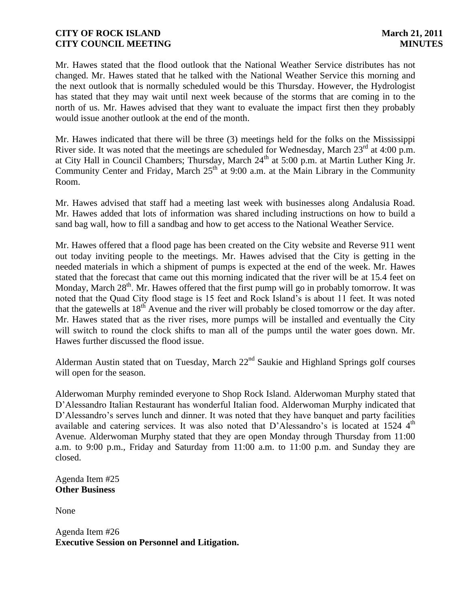Mr. Hawes stated that the flood outlook that the National Weather Service distributes has not changed. Mr. Hawes stated that he talked with the National Weather Service this morning and the next outlook that is normally scheduled would be this Thursday. However, the Hydrologist has stated that they may wait until next week because of the storms that are coming in to the north of us. Mr. Hawes advised that they want to evaluate the impact first then they probably would issue another outlook at the end of the month.

Mr. Hawes indicated that there will be three (3) meetings held for the folks on the Mississippi River side. It was noted that the meetings are scheduled for Wednesday, March  $23<sup>rd</sup>$  at 4:00 p.m. at City Hall in Council Chambers; Thursday, March 24<sup>th</sup> at 5:00 p.m. at Martin Luther King Jr. Community Center and Friday, March  $25<sup>th</sup>$  at 9:00 a.m. at the Main Library in the Community Room.

Mr. Hawes advised that staff had a meeting last week with businesses along Andalusia Road. Mr. Hawes added that lots of information was shared including instructions on how to build a sand bag wall, how to fill a sandbag and how to get access to the National Weather Service.

Mr. Hawes offered that a flood page has been created on the City website and Reverse 911 went out today inviting people to the meetings. Mr. Hawes advised that the City is getting in the needed materials in which a shipment of pumps is expected at the end of the week. Mr. Hawes stated that the forecast that came out this morning indicated that the river will be at 15.4 feet on Monday, March  $28<sup>th</sup>$ . Mr. Hawes offered that the first pump will go in probably tomorrow. It was noted that the Quad City flood stage is 15 feet and Rock Island's is about 11 feet. It was noted that the gatewells at  $18^{th}$  Avenue and the river will probably be closed tomorrow or the day after. Mr. Hawes stated that as the river rises, more pumps will be installed and eventually the City will switch to round the clock shifts to man all of the pumps until the water goes down. Mr. Hawes further discussed the flood issue.

Alderman Austin stated that on Tuesday, March 22<sup>nd</sup> Saukie and Highland Springs golf courses will open for the season.

Alderwoman Murphy reminded everyone to Shop Rock Island. Alderwoman Murphy stated that D'Alessandro Italian Restaurant has wonderful Italian food. Alderwoman Murphy indicated that D'Alessandro's serves lunch and dinner. It was noted that they have banquet and party facilities available and catering services. It was also noted that D'Alessandro's is located at  $1524$   $4<sup>th</sup>$ Avenue. Alderwoman Murphy stated that they are open Monday through Thursday from 11:00 a.m. to 9:00 p.m., Friday and Saturday from 11:00 a.m. to 11:00 p.m. and Sunday they are closed.

Agenda Item #25 **Other Business**

None

Agenda Item #26 **Executive Session on Personnel and Litigation.**